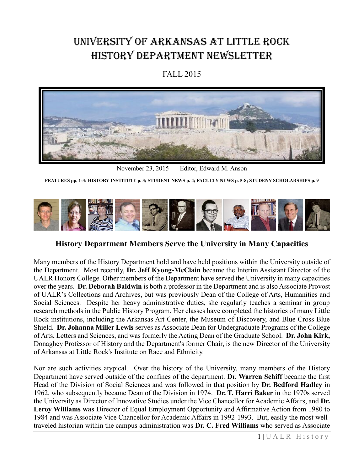# University of Arkansas at Little Rock History Department Newsletter

## FALL 2015



November 23, 2015 Editor, Edward M. Anson

**FEATURES pp, 1-3; HISTORY INSTITUTE p. 3; STUDENT NEWS p. 4; FACULTY NEWS p. 5-8; STUDENY SCHOLARSHIPS p. 9**



**History Department Members Serve the University in Many Capacities**

Many members of the History Department hold and have held positions within the University outside of the Department. Most recently, **Dr. Jeff Kyong-McClain** became the Interim Assistant Director of the UALR Honors College. Other members of the Department have served the University in many capacities over the years. **Dr. Deborah Baldwin** is both a professor in the Department and is also Associate Provost of UALR's Collections and Archives, but was previously Dean of the College of Arts, Humanities and Social Sciences. Despite her heavy administrative duties, she regularly teaches a seminar in group research methods in the Public History Program. Her classes have completed the histories of many Little Rock institutions, including the Arkansas Art Center, the Museum of Discovery, and Blue Cross Blue Shield. **Dr. Johanna Miller Lewis** serves as Associate Dean for Undergraduate Programs of the College of Arts, Letters and Sciences, and was formerly the Acting Dean of the Graduate School. **Dr. John Kirk,**  Donaghey Professor of History and the Department's former Chair, is the new Director of the University of Arkansas at Little Rock's Institute on Race and Ethnicity.

Nor are such activities atypical. Over the history of the University, many members of the History Department have served outside of the confines of the department. **Dr. Warren Schiff** became the first Head of the Division of Social Sciences and was followed in that position by **Dr. Bedford Hadley** in 1962, who subsequently became Dean of the Division in 1974. **Dr. T. Harri Baker** in the 1970s served the University as Director of Innovative Studies under the Vice Chancellor for Academic Affairs, and **Dr. Leroy Williams was** Director of Equal Employment Opportunity and Affirmative Action from 1980 to 1984 and was Associate Vice Chancellor for Academic Affairs in 1992-1993. But, easily the most welltraveled historian within the campus administration was **Dr. C. Fred Williams** who served as Associate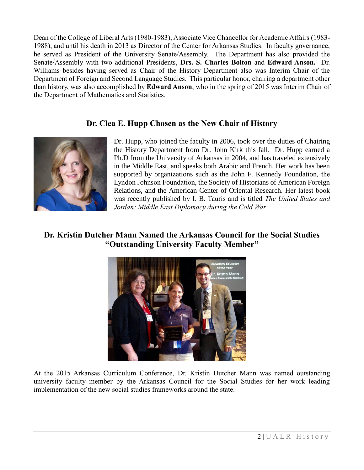Dean of the College of Liberal Arts (1980-1983), Associate Vice Chancellor for Academic Affairs (1983- 1988), and until his death in 2013 as Director of the Center for Arkansas Studies. In faculty governance, he served as President of the University Senate/Assembly. The Department has also provided the Senate/Assembly with two additional Presidents, **Drs. S. Charles Bolton** and **Edward Anson.** Dr. Williams besides having served as Chair of the History Department also was Interim Chair of the Department of Foreign and Second Language Studies. This particular honor, chairing a department other than history, was also accomplished by **Edward Anson**, who in the spring of 2015 was Interim Chair of the Department of Mathematics and Statistics.

#### **Dr. Clea E. Hupp Chosen as the New Chair of History**



Dr. Hupp, who joined the faculty in 2006, took over the duties of Chairing the History Department from Dr. John Kirk this fall. Dr. Hupp earned a Ph.D from the University of Arkansas in 2004, and has traveled extensively in the Middle East, and speaks both Arabic and French. Her work has been supported by organizations such as the John F. Kennedy Foundation, the Lyndon Johnson Foundation, the Society of Historians of American Foreign Relations, and the American Center of Oriental Research. Her latest book was recently published by I. B. Tauris and is titled *The United States and Jordan: Middle East Diplomacy during the Cold War*.

## **Dr. Kristin Dutcher Mann Named the Arkansas Council for the Social Studies "Outstanding University Faculty Member"**

![](_page_1_Picture_5.jpeg)

At the 2015 Arkansas Curriculum Conference, Dr. Kristin Dutcher Mann was named outstanding university faculty member by the Arkansas Council for the Social Studies for her work leading implementation of the new social studies frameworks around the state.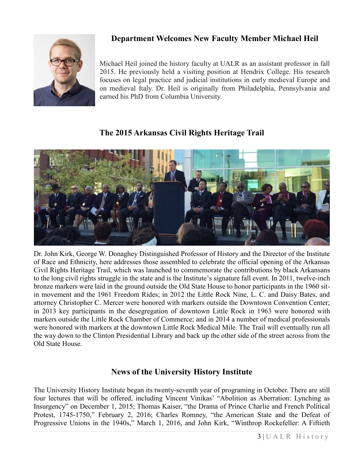![](_page_2_Picture_0.jpeg)

# **Department Welcomes New Faculty Member Michael Heil**

Michael Heil joined the history faculty at UALR as an assistant professor in fall 2015. He previously held a visiting position at Hendrix College. His research focuses on legal practice and judicial institutions in early medieval Europe and on medieval Italy. Dr. Heil is originally from Philadelphia, Pennsylvania and earned his PhD from Columbia University.

## **The 2015 Arkansas Civil Rights Heritage Trail**

![](_page_2_Picture_4.jpeg)

Dr. John Kirk, George W. Donaghey Distinguished Professor of History and the Director of the Institute of Race and Ethnicity, here addresses those assembled to celebrate the official opening of the Arkansas Civil Rights Heritage Trail, which was launched to commemorate the contributions by black Arkansans to the long civil rights struggle in the state and is the Institute's signature fall event. In 2011, twelve-inch bronze markers were laid in the ground outside the Old State House to honor participants in the 1960 sitin movement and the 1961 Freedom Rides; in 2012 the Little Rock Nine, L. C. and Daisy Bates, and attorney Christopher C. Mercer were honored with markers outside the Downtown Convention Center; in 2013 key participants in the desegregation of downtown Little Rock in 1963 were honored with markers outside the Little Rock Chamber of Commerce; and in 2014 a number of medical professionals were honored with markers at the downtown Little Rock Medical Mile. The Trail will eventually run all the way down to the Clinton Presidential Library and back up the other side of the street across from the Old State House.

## **News of the University History Institute**

The University History Institute began its twenty-seventh year of programing in October. There are still four lectures that will be offered, including Vincent Vinikas' "Abolition as Aberration: Lynching as Insurgency" on December 1, 2015; Thomas Kaiser, "the Drama of Prince Charlie and French Political Protest, 1745-1750," February 2, 2016; Charles Romney, "the American State and the Defeat of Progressive Unions in the 1940s," March 1, 2016, and John Kirk, "Winthrop Rockefeller: A Fiftieth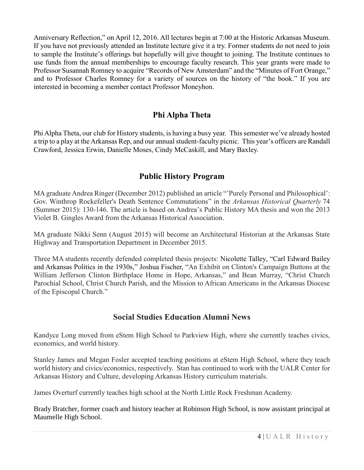Anniversary Reflection," on April 12, 2016. All lectures begin at 7:00 at the Historic Arkansas Museum. If you have not previously attended an Institute lecture give it a try. Former students do not need to join to sample the Institute's offerings but hopefully will give thought to joining. The Institute continues to use funds from the annual memberships to encourage faculty research. This year grants were made to Professor Susannah Romney to acquire "Records of New Amsterdam" and the "Minutes of Fort Orange," and to Professor Charles Romney for a variety of sources on the history of "the book." If you are interested in becoming a member contact Professor Moneyhon.

### **Phi Alpha Theta**

Phi Alpha Theta, our club for History students, is having a busy year. This semester we've already hosted a trip to a play at the Arkansas Rep, and our annual student-faculty picnic. This year's officers are Randall Crawford, Jessica Erwin, Danielle Moses, Cindy McCaskill, and Mary Baxley.

#### **Public History Program**

MA graduate Andrea Ringer (December 2012) published an article "'Purely Personal and Philosophical': Gov. Winthrop Rockefeller's Death Sentence Commutations" in the *Arkansas Historical Quarterly* 74 (Summer 2015): 130-146. The article is based on Andrea's Public History MA thesis and won the 2013 Violet B. Gingles Award from the Arkansas Historical Association.

MA graduate Nikki Senn (August 2015) will become an Architectural Historian at the Arkansas State Highway and Transportation Department in December 2015.

Three MA students recently defended completed thesis projects: Nicolette Talley, "Carl Edward Bailey and Arkansas Politics in the 1930s," Joshua Fischer, "An Exhibit on Clinton's Campaign Buttons at the William Jefferson Clinton Birthplace Home in Hope, Arkansas," and Bean Murray, "Christ Church Parochial School, Christ Church Parish, and the Mission to African Americans in the Arkansas Diocese of the Episcopal Church."

#### **Social Studies Education Alumni News**

Kandyce Long moved from eStem High School to Parkview High, where she currently teaches civics, economics, and world history.

Stanley James and Megan Fosler accepted teaching positions at eStem High School, where they teach world history and civics/economics, respectively. Stan has continued to work with the UALR Center for Arkansas History and Culture, developing Arkansas History curriculum materials.

James Overturf currently teaches high school at the North Little Rock Freshman Academy.

Brady Bratcher, former coach and history teacher at Robinson High School, is now assistant principal at Maumelle High School.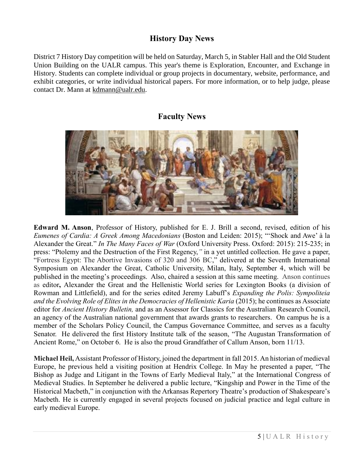### **History Day News**

District 7 History Day competition will be held on Saturday, March 5, in Stabler Hall and the Old Student Union Building on the UALR campus. This year's theme is Exploration, Encounter, and Exchange in History. Students can complete individual or group projects in documentary, website, performance, and exhibit categories, or write individual historical papers. For more information, or to help judge, please contact Dr. Mann at [kdmann@ualr.edu.](mailto:kdmann@ualr.edu)

#### **Faculty News**

![](_page_4_Picture_3.jpeg)

**Edward M. Anson**, Professor of History, published for E. J. Brill a second, revised, edition of his *Eumenes of Cardia: A Greek Among Macedonians* (Boston and Leiden: 2015); "'Shock and Awe' à la Alexander the Great." *In The Many Faces of War* (Oxford University Press. Oxford: 2015): 215-235; in press: "Ptolemy and the Destruction of the First Regency,*"* in a yet untitled collection. He gave a paper, "Fortress Egypt: The Abortive Invasions of 320 and 306 BC," delivered at the Seventh International Symposium on Alexander the Great, Catholic University, Milan, Italy, September 4, which will be published in the meeting's proceedings. Also, chaired a session at this same meeting. Anson continues as editor**,** Alexander the Great and the Hellenistic World series for Lexington Books (a division of Rowman and Littlefield), and for the series edited Jeremy Labuff's *Expanding the Polis: Sympoliteia and the Evolving Role of Elites in the Democracies of Hellenistic Karia* (2015); he continues as Associate editor for *Ancient History Bulletin,* and as an Assessor for Classics for the Australian Research Council, an agency of the Australian national government that awards grants to researchers. On campus he is a member of the Scholars Policy Council, the Campus Governance Committee, and serves as a faculty Senator. He delivered the first History Institute talk of the season, "The Augustan Transformation of Ancient Rome," on October 6. He is also the proud Grandfather of Callum Anson, born 11/13.

**Michael Heil,** Assistant Professor of History, joined the department in fall 2015. An historian of medieval Europe, he previous held a visiting position at Hendrix College. In May he presented a paper, "The Bishop as Judge and Litigant in the Towns of Early Medieval Italy," at the International Congress of Medieval Studies. In September he delivered a public lecture, "Kingship and Power in the Time of the Historical Macbeth," in conjunction with the Arkansas Repertory Theatre's production of Shakespeare's Macbeth. He is currently engaged in several projects focused on judicial practice and legal culture in early medieval Europe.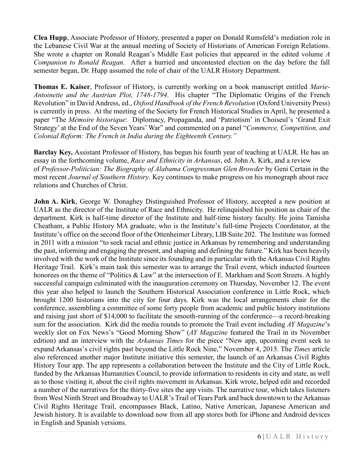**Clea Hupp**, Associate Professor of History, presented a paper on Donald Rumsfeld's mediation role in the Lebanese Civil War at the annual meeting of Society of Historians of American Foreign Relations. She wrote a chapter on Ronald Reagan's Middle East policies that appeared in the edited volume *A Companion to Ronald Reagan.* After a hurried and uncontested election on the day before the fall semester began, Dr. Hupp assumed the role of chair of the UALR History Department.

**Thomas E. Kaiser**, Professor of History, is currently working on a book manuscript entitled *Marie-Antoinette and the Austrian Plot, 1748-1794*. His chapter "The Diplomatic Origins of the French Revolution" in David Andress, ed., *Oxford Handbook of the French Revolution* (Oxford University Press) is currently in press. At the meeting of the Society for French Historical Studies in April, he presented a paper "The *Mémoire historique*: Diplomacy, Propaganda, and 'Patriotism' in Choiseul's 'Grand Exit Strategy' at the End of the Seven Years' War" and commented on a panel "*Commerce, Competition, and Colonial Reform: The French in India during the Eighteenth Century."*

**Barclay Key,** Assistant Professor of History, has begun his fourth year of teaching at UALR. He has an essay in the forthcoming volume, *Race and Ethnicity in Arkansas*, ed. John A. Kirk, and a review of *Professor-Politician: The Biography of Alabama Congressman Glen Browder* by Geni Certain in the most recent *Journal of Southern History*. Key continues to make progress on his monograph about race relations and Churches of Christ.

**John A. Kirk**, George W. Donaghey Distinguished Professor of History, accepted a new position at UALR as the director of the Institute of Race and Ethnicity. He relinquished his position as chair of the department. Kirk is half-time director of the Institute and half-time history faculty. He joins Tamisha Cheatham, a Public History MA graduate, who is the Institute's full-time Projects Coordinator, at the Institute's office on the second floor of the Ottenheimer Library, LIB Suite 202. The Institute was formed in 2011 with a mission "to seek racial and ethnic justice in Arkansas by remembering and understanding the past, informing and engaging the present, and shaping and defining the future." Kirk has been heavily involved with the work of the Institute since its founding and in particular with the Arkansas Civil Rights Heritage Trail. Kirk's main task this semester was to arrange the Trail event, which inducted fourteen honorees on the theme of "Politics & Law" at the intersection of E. Markham and Scott Streets. A highly successful campaign culminated with the inauguration ceremony on Thursday, November 12. The event this year also helped to launch the Southern Historical Association conference in Little Rock, which brought 1200 historians into the city for four days. Kirk was the local arrangements chair for the conference, assembling a committee of some forty people from academic and public history institutions and raising just short of \$14,000 to facilitate the smooth-running of the conference—a record-breaking sum for the association. Kirk did the media rounds to promote the Trail event including *AY Magazine*'s weekly slot on Fox News's "Good Morning Show" (*AY Magazine* featured the Trail in its November edition) and an interview with the *Arkansas Times* for the piece "New app, upcoming event seek to expand Arkansas's civil rights past beyond the Little Rock Nine," November 4, 2015. The *Times* article also referenced another major Institute initiative this semester, the launch of an Arkansas Civil Rights History Tour app. The app represents a collaboration between the Institute and the City of Little Rock, funded by the Arkansas Humanities Council, to provide information to residents in city and state, as well as to those visiting it, about the civil rights movement in Arkansas. Kirk wrote, helped edit and recorded a number of the narratives for the thirty-five sites the app visits. The narrative tour, which takes listeners from West Ninth Street and Broadway to UALR's Trail of Tears Park and back downtown to the Arkansas Civil Rights Heritage Trail, encompasses Black, Latino, Native American, Japanese American and Jewish history. It is available to download now from all app stores both for iPhone and Android devices in English and Spanish versions.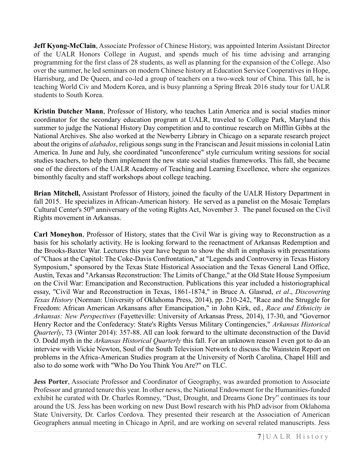**Jeff Kyong-McClain**, Associate Professor of Chinese History, was appointed Interim Assistant Director of the UALR Honors College in August, and spends much of his time advising and arranging programming for the first class of 28 students, as well as planning for the expansion of the College. Also over the summer, he led seminars on modern Chinese history at Education Service Cooperatives in Hope, Harrisburg, and De Queen, and co-led a group of teachers on a two-week tour of China. This fall, he is teaching World Civ and Modern Korea, and is busy planning a Spring Break 2016 study tour for UALR students to South Korea.

**Kristin Dutcher Mann**, Professor of History, who teaches Latin America and is social studies minor coordinator for the secondary education program at UALR, traveled to College Park, Maryland this summer to judge the National History Day competition and to continue research on Mifflin Gibbs at the National Archives. She also worked at the Newberry Library in Chicago on a separate research project about the origins of *alabados*, religious songs sung in the Franciscan and Jesuit missions in colonial Latin America. In June and July, she coordinated "unconference" style curriculum writing sessions for social studies teachers, to help them implement the new state social studies frameworks. This fall, she became one of the directors of the UALR Academy of Teaching and Learning Excellence, where she organizes bimonthly faculty and staff workshops about college teaching.

**Brian Mitchell,** Assistant Professor of History, joined the faculty of the UALR History Department in fall 2015. He specializes in African-American history. He served as a panelist on the Mosaic Templars Cultural Center's 50<sup>th</sup> anniversary of the voting Rights Act, November 3. The panel focused on the Civil Rights movement in Arkansas.

**Carl Moneyhon**, Professor of History, states that the Civil War is giving way to Reconstruction as a basis for his scholarly activity. He is looking forward to the reenactment of Arkansas Redemption and the Brooks-Baxter War. Lectures this year have begun to show the shift in emphasis with presentations of "Chaos at the Capitol: The Coke-Davis Confrontation," at "Legends and Controversy in Texas History Symposium," sponsored by the Texas State Historical Association and the Texas General Land Office, Austin, Texas and "Arkansas Reconstruction: The Limits of Change," at the Old State House Symposium on the Civil War: Emancipation and Reconstruction. Publications this year included a historiographical essay, "Civil War and Reconstruction in Texas, 1861-1874," in Bruce A. Glasrud, *et al*., *Discovering Texas History* (Norman: University of Oklahoma Press, 2014), pp. 210-242, "Race and the Struggle for Freedom: African American Arkansans after Emancipation," in John Kirk, ed., *Race and Ethnicity in Arkansas: New Perspectives* (Fayetteville: University of Arkansas Press, 2014), 17-30, and "Governor Henry Rector and the Confederacy: State's Rights Versus Military Contingencies," *Arkansas Historical Quarterly*, 73 (Winter 2014): 357-88. All can look forward to the ultimate deconstruction of the David O. Dodd myth in the *Arkansas Historical Quarterly* this fall. For an unknown reason I even got to do an interview with Vickie Newton, Soul of the South Television Network to discuss the Wainstein Report on problems in the Africa-American Studies program at the University of North Carolina, Chapel Hill and also to do some work with "Who Do You Think You Are?" on TLC.

**Jess Porter**, Associate Professor and Coordinator of Geography, was awarded promotion to Associate Professor and granted tenure this year. In other news, the National Endowment for the Humanities-funded exhibit he curated with Dr. Charles Romney, "Dust, Drought, and Dreams Gone Dry" continues its tour around the US. Jess has been working on new Dust Bowl research with his PhD advisor from Oklahoma State University, Dr. Carlos Cordova. They presented their research at the Association of American Geographers annual meeting in Chicago in April, and are working on several related manuscripts. Jess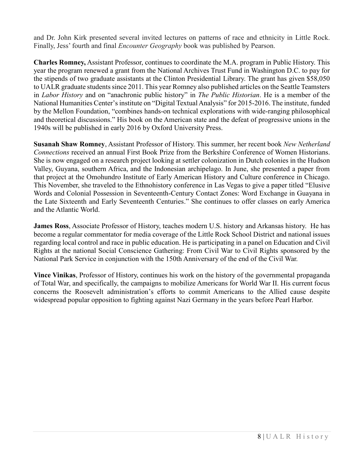and Dr. John Kirk presented several invited lectures on patterns of race and ethnicity in Little Rock. Finally, Jess' fourth and final *Encounter Geography* book was published by Pearson.

**Charles Romney,** Assistant Professor, continues to coordinate the M.A. program in Public History. This year the program renewed a grant from the National Archives Trust Fund in Washington D.C. to pay for the stipends of two graduate assistants at the Clinton Presidential Library. The grant has given \$58,050 to UALR graduate students since 2011. This year Romney also published articles on the Seattle Teamsters in *Labor History* and on "anachronic public history" in *The Public Historian*. He is a member of the National Humanities Center's institute on "Digital Textual Analysis" for 2015-2016. The institute, funded by the Mellon Foundation, "combines hands-on technical explorations with wide-ranging philosophical and theoretical discussions." His book on the American state and the defeat of progressive unions in the 1940s will be published in early 2016 by Oxford University Press.

**Susanah Shaw Romney**, Assistant Professor of History. This summer, her recent book *New Netherland Connections* received an annual First Book Prize from the Berkshire Conference of Women Historians. She is now engaged on a research project looking at settler colonization in Dutch colonies in the Hudson Valley, Guyana, southern Africa, and the Indonesian archipelago. In June, she presented a paper from that project at the Omohundro Institute of Early American History and Culture conference in Chicago. This November, she traveled to the Ethnohistory conference in Las Vegas to give a paper titled "Elusive Words and Colonial Possession in Seventeenth-Century Contact Zones: Word Exchange in Guayana in the Late Sixteenth and Early Seventeenth Centuries." She continues to offer classes on early America and the Atlantic World.

**James Ross**, Associate Professor of History, teaches modern U.S. history and Arkansas history. He has become a regular commentator for media coverage of the Little Rock School District and national issues regarding local control and race in public education. He is participating in a panel on Education and Civil Rights at the national Social Conscience Gathering: From Civil War to Civil Rights sponsored by the National Park Service in conjunction with the 150th Anniversary of the end of the Civil War.

**Vince Vinikas**, Professor of History, continues his work on the history of the governmental propaganda of Total War, and specifically, the campaigns to mobilize Americans for World War II. His current focus concerns the Roosevelt administration's efforts to commit Americans to the Allied cause despite widespread popular opposition to fighting against Nazi Germany in the years before Pearl Harbor.